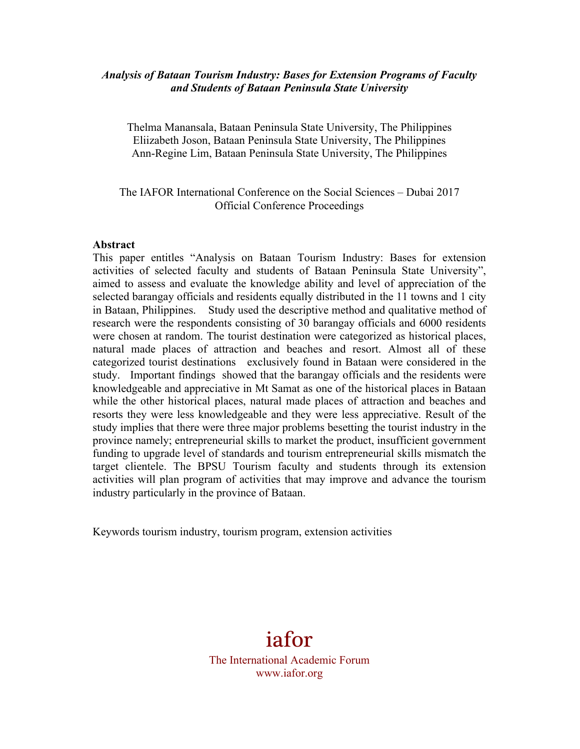### *Analysis of Bataan Tourism Industry: Bases for Extension Programs of Faculty and Students of Bataan Peninsula State University*

Thelma Manansala, Bataan Peninsula State University, The Philippines Eliizabeth Joson, Bataan Peninsula State University, The Philippines Ann-Regine Lim, Bataan Peninsula State University, The Philippines

## The IAFOR International Conference on the Social Sciences – Dubai 2017 Official Conference Proceedings

#### **Abstract**

This paper entitles "Analysis on Bataan Tourism Industry: Bases for extension activities of selected faculty and students of Bataan Peninsula State University", aimed to assess and evaluate the knowledge ability and level of appreciation of the selected barangay officials and residents equally distributed in the 11 towns and 1 city in Bataan, Philippines. Study used the descriptive method and qualitative method of research were the respondents consisting of 30 barangay officials and 6000 residents were chosen at random. The tourist destination were categorized as historical places, natural made places of attraction and beaches and resort. Almost all of these categorized tourist destinations exclusively found in Bataan were considered in the study. Important findings showed that the barangay officials and the residents were knowledgeable and appreciative in Mt Samat as one of the historical places in Bataan while the other historical places, natural made places of attraction and beaches and resorts they were less knowledgeable and they were less appreciative. Result of the study implies that there were three major problems besetting the tourist industry in the province namely; entrepreneurial skills to market the product, insufficient government funding to upgrade level of standards and tourism entrepreneurial skills mismatch the target clientele. The BPSU Tourism faculty and students through its extension activities will plan program of activities that may improve and advance the tourism industry particularly in the province of Bataan.

Keywords tourism industry, tourism program, extension activities

iafor The International Academic Forum www.iafor.org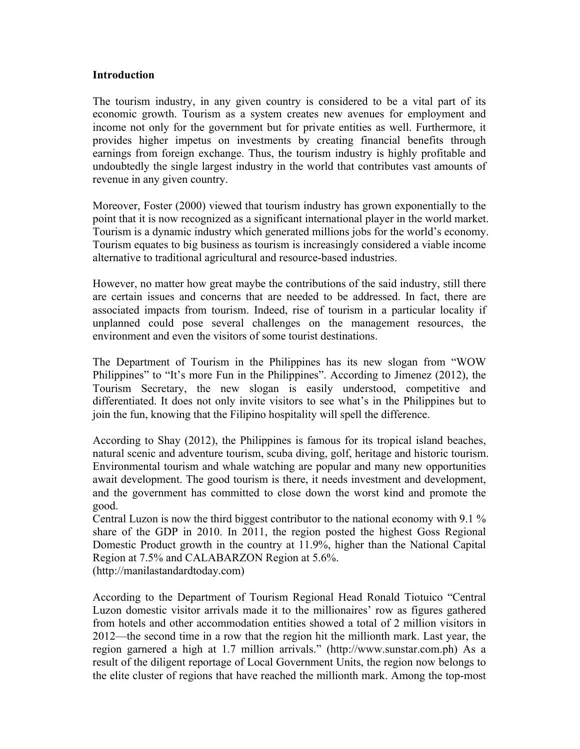#### **Introduction**

The tourism industry, in any given country is considered to be a vital part of its economic growth. Tourism as a system creates new avenues for employment and income not only for the government but for private entities as well. Furthermore, it provides higher impetus on investments by creating financial benefits through earnings from foreign exchange. Thus, the tourism industry is highly profitable and undoubtedly the single largest industry in the world that contributes vast amounts of revenue in any given country.

Moreover, Foster (2000) viewed that tourism industry has grown exponentially to the point that it is now recognized as a significant international player in the world market. Tourism is a dynamic industry which generated millions jobs for the world's economy. Tourism equates to big business as tourism is increasingly considered a viable income alternative to traditional agricultural and resource-based industries.

However, no matter how great maybe the contributions of the said industry, still there are certain issues and concerns that are needed to be addressed. In fact, there are associated impacts from tourism. Indeed, rise of tourism in a particular locality if unplanned could pose several challenges on the management resources, the environment and even the visitors of some tourist destinations.

The Department of Tourism in the Philippines has its new slogan from "WOW Philippines" to "It's more Fun in the Philippines". According to Jimenez (2012), the Tourism Secretary, the new slogan is easily understood, competitive and differentiated. It does not only invite visitors to see what's in the Philippines but to join the fun, knowing that the Filipino hospitality will spell the difference.

According to Shay (2012), the Philippines is famous for its tropical island beaches, natural scenic and adventure tourism, scuba diving, golf, heritage and historic tourism. Environmental tourism and whale watching are popular and many new opportunities await development. The good tourism is there, it needs investment and development, and the government has committed to close down the worst kind and promote the good.

Central Luzon is now the third biggest contributor to the national economy with 9.1 % share of the GDP in 2010. In 2011, the region posted the highest Goss Regional Domestic Product growth in the country at 11.9%, higher than the National Capital Region at 7.5% and CALABARZON Region at 5.6%. (http://manilastandardtoday.com)

According to the Department of Tourism Regional Head Ronald Tiotuico "Central Luzon domestic visitor arrivals made it to the millionaires' row as figures gathered from hotels and other accommodation entities showed a total of 2 million visitors in 2012—the second time in a row that the region hit the millionth mark. Last year, the region garnered a high at 1.7 million arrivals." (http://www.sunstar.com.ph) As a result of the diligent reportage of Local Government Units, the region now belongs to the elite cluster of regions that have reached the millionth mark. Among the top-most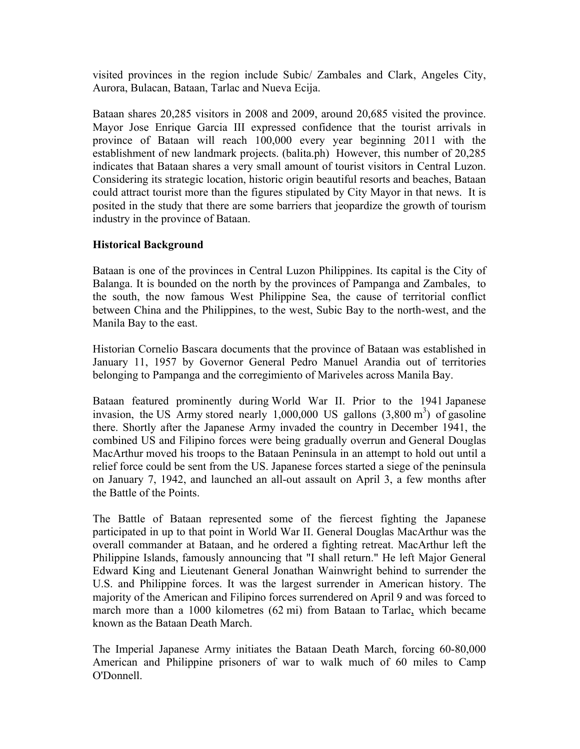visited provinces in the region include Subic/ Zambales and Clark, Angeles City, Aurora, Bulacan, Bataan, Tarlac and Nueva Ecija.

Bataan shares 20,285 visitors in 2008 and 2009, around 20,685 visited the province. Mayor Jose Enrique Garcia III expressed confidence that the tourist arrivals in province of Bataan will reach 100,000 every year beginning 2011 with the establishment of new landmark projects. (balita.ph) However, this number of 20,285 indicates that Bataan shares a very small amount of tourist visitors in Central Luzon. Considering its strategic location, historic origin beautiful resorts and beaches, Bataan could attract tourist more than the figures stipulated by City Mayor in that news. It is posited in the study that there are some barriers that jeopardize the growth of tourism industry in the province of Bataan.

# **Historical Background**

Bataan is one of the provinces in Central Luzon Philippines. Its capital is the City of Balanga. It is bounded on the north by the provinces of Pampanga and Zambales, to the south, the now famous West Philippine Sea, the cause of territorial conflict between China and the Philippines, to the west, Subic Bay to the north-west, and the Manila Bay to the east.

Historian Cornelio Bascara documents that the province of Bataan was established in January 11, 1957 by Governor General Pedro Manuel Arandia out of territories belonging to Pampanga and the corregimiento of Mariveles across Manila Bay.

Bataan featured prominently during World War II. Prior to the 1941 Japanese invasion, the US Army stored nearly  $1,000,000$  US gallons  $(3,800 \text{ m}^3)$  of gasoline there. Shortly after the Japanese Army invaded the country in December 1941, the combined US and Filipino forces were being gradually overrun and General Douglas MacArthur moved his troops to the Bataan Peninsula in an attempt to hold out until a relief force could be sent from the US. Japanese forces started a siege of the peninsula on January 7, 1942, and launched an all-out assault on April 3, a few months after the Battle of the Points.

The Battle of Bataan represented some of the fiercest fighting the Japanese participated in up to that point in World War II. General Douglas MacArthur was the overall commander at Bataan, and he ordered a fighting retreat. MacArthur left the Philippine Islands, famously announcing that "I shall return." He left Major General Edward King and Lieutenant General Jonathan Wainwright behind to surrender the U.S. and Philippine forces. It was the largest surrender in American history. The majority of the American and Filipino forces surrendered on April 9 and was forced to march more than a 1000 kilometres (62 mi) from Bataan to Tarlac, which became known as the Bataan Death March.

The Imperial Japanese Army initiates the Bataan Death March, forcing 60-80,000 American and Philippine prisoners of war to walk much of 60 miles to Camp O'Donnell.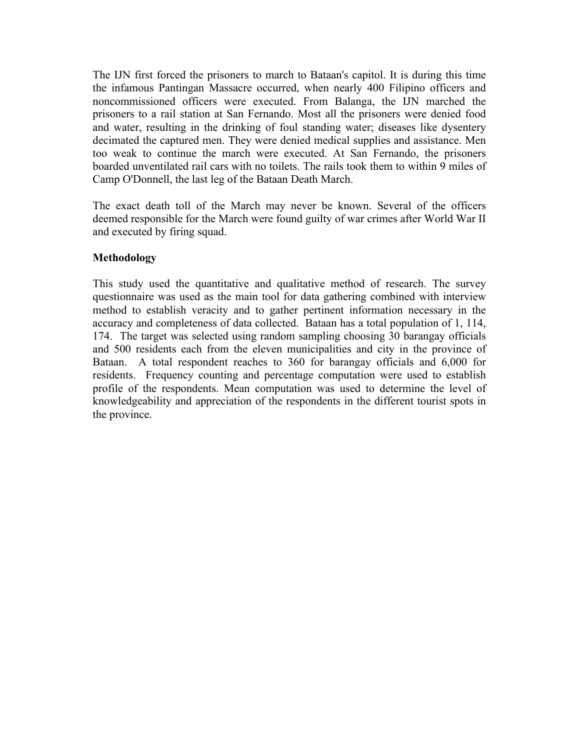The IJN first forced the prisoners to march to Bataan's capitol. It is during this time the infamous Pantingan Massacre occurred, when nearly 400 Filipino officers and noncommissioned officers were executed. From Balanga, the IJN marched the prisoners to a rail station at San Fernando. Most all the prisoners were denied food and water, resulting in the drinking of foul standing water; diseases like dysentery decimated the captured men. They were denied medical supplies and assistance. Men too weak to continue the march were executed. At San Fernando, the prisoners boarded unventilated rail cars with no toilets. The rails took them to within 9 miles of Camp O'Donnell, the last leg of the Bataan Death March.

The exact death toll of the March may never be known. Several of the officers deemed responsible for the March were found guilty of war crimes after World War II and executed by firing squad.

# **Methodology**

This study used the quantitative and qualitative method of research. The survey questionnaire was used as the main tool for data gathering combined with interview method to establish veracity and to gather pertinent information necessary in the accuracy and completeness of data collected. Bataan has a total population of 1, 114, 174. The target was selected using random sampling choosing 30 barangay officials and 500 residents each from the eleven municipalities and city in the province of Bataan. A total respondent reaches to 360 for barangay officials and 6,000 for residents. Frequency counting and percentage computation were used to establish profile of the respondents. Mean computation was used to determine the level of knowledgeability and appreciation of the respondents in the different tourist spots in the province.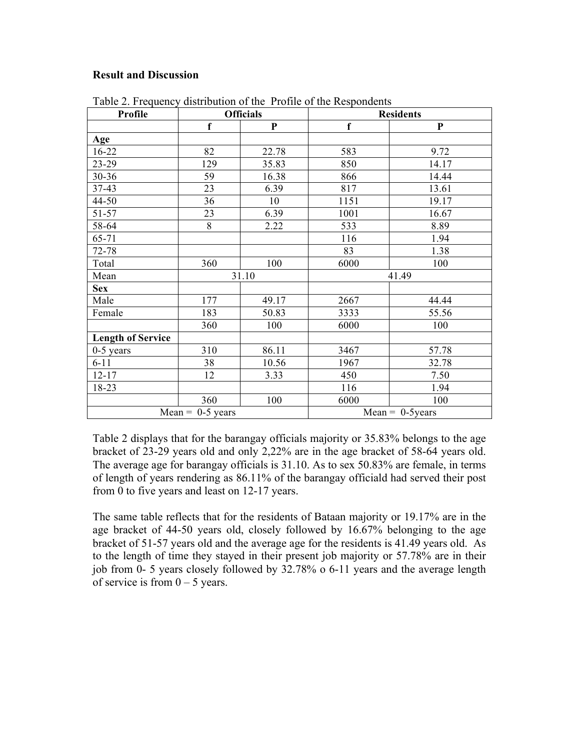## **Result and Discussion**

| Profile                  | <b>Officials</b> |              | <b>Residents</b>          |           |  |
|--------------------------|------------------|--------------|---------------------------|-----------|--|
|                          | $\mathbf f$      | $\mathbf{P}$ | f                         | ${\bf P}$ |  |
| Age                      |                  |              |                           |           |  |
| 16-22                    | 82               | 22.78        | 583                       | 9.72      |  |
| 23-29                    | 129              | 35.83        | 850                       | 14.17     |  |
| 30-36                    | 59               | 16.38        | 866                       | 14.44     |  |
| 37-43                    | 23               | 6.39         | 817                       | 13.61     |  |
| 44-50                    | 36               | 10           | 1151                      | 19.17     |  |
| 51-57                    | 23               | 6.39         | 1001                      | 16.67     |  |
| 58-64                    | 8                | 2.22         | 533                       | 8.89      |  |
| 65-71                    |                  |              | 116                       | 1.94      |  |
| 72-78                    |                  |              | 83                        | 1.38      |  |
| Total                    | 360              | 100          | 6000                      | 100       |  |
| Mean                     |                  | 31.10        | 41.49                     |           |  |
| <b>Sex</b>               |                  |              |                           |           |  |
| Male                     | 177              | 49.17        | 2667                      | 44.44     |  |
| Female                   | 183              | 50.83        | 3333                      | 55.56     |  |
|                          | 360              | 100          | 6000                      | 100       |  |
| <b>Length of Service</b> |                  |              |                           |           |  |
| $0-5$ years              | 310              | 86.11        | 3467                      | 57.78     |  |
| $6 - 11$                 | 38               | 10.56        | 1967                      | 32.78     |  |
| $12 - 17$                | 12               | 3.33         | 450                       | 7.50      |  |
| 18-23                    |                  |              | 116                       | 1.94      |  |
|                          | 360              | 100          | 6000                      | 100       |  |
| Mean = $0-5$ years       |                  |              | $Mean = 0-5 \text{years}$ |           |  |

Table 2. Frequency distribution of the Profile of the Respondents

Table 2 displays that for the barangay officials majority or 35.83% belongs to the age bracket of 23-29 years old and only 2,22% are in the age bracket of 58-64 years old. The average age for barangay officials is 31.10. As to sex 50.83% are female, in terms of length of years rendering as 86.11% of the barangay officiald had served their post from 0 to five years and least on 12-17 years.

The same table reflects that for the residents of Bataan majority or 19.17% are in the age bracket of 44-50 years old, closely followed by 16.67% belonging to the age bracket of 51-57 years old and the average age for the residents is 41.49 years old. As to the length of time they stayed in their present job majority or 57.78% are in their job from 0- 5 years closely followed by 32.78% o 6-11 years and the average length of service is from  $0 - 5$  years.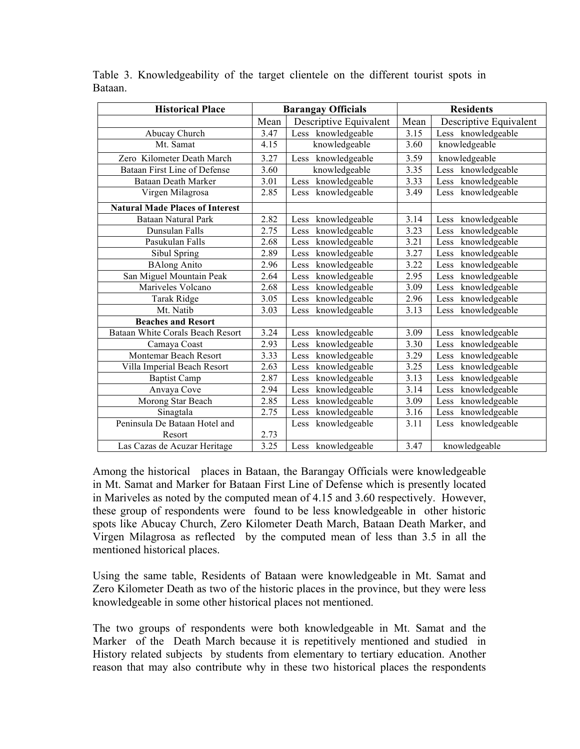| <b>Historical Place</b>                | <b>Barangay Officials</b> |                        | <b>Residents</b> |                        |
|----------------------------------------|---------------------------|------------------------|------------------|------------------------|
|                                        | Mean                      | Descriptive Equivalent | Mean             | Descriptive Equivalent |
| Abucay Church                          | 3.47                      | Less knowledgeable     | 3.15             | Less knowledgeable     |
| Mt. Samat                              | 4.15                      | knowledgeable          | 3.60             | knowledgeable          |
| Zero Kilometer Death March             | 3.27                      | knowledgeable<br>Less  | 3.59             | knowledgeable          |
| <b>Bataan First Line of Defense</b>    | 3.60                      | knowledgeable          | 3.35             | knowledgeable<br>Less  |
| Bataan Death Marker                    | 3.01                      | knowledgeable<br>Less  | 3.33             | knowledgeable<br>Less  |
| Virgen Milagrosa                       | 2.85                      | knowledgeable<br>Less  | 3.49             | knowledgeable<br>Less  |
| <b>Natural Made Places of Interest</b> |                           |                        |                  |                        |
| <b>Bataan Natural Park</b>             | 2.82                      | knowledgeable<br>Less  | 3.14             | knowledgeable<br>Less  |
| Dunsulan Falls                         | 2.75                      | knowledgeable<br>Less  | 3.23             | knowledgeable<br>Less  |
| Pasukulan Falls                        | 2.68                      | knowledgeable<br>Less  | 3.21             | knowledgeable<br>Less  |
| Sibul Spring                           | 2.89                      | knowledgeable<br>Less  | 3.27             | knowledgeable<br>Less  |
| <b>BAlong Anito</b>                    | 2.96                      | knowledgeable<br>Less  | 3.22             | knowledgeable<br>Less  |
| San Miguel Mountain Peak               | 2.64                      | knowledgeable<br>Less  | 2.95             | knowledgeable<br>Less  |
| Mariveles Volcano                      | 2.68                      | knowledgeable<br>Less  | 3.09             | knowledgeable<br>Less  |
| Tarak Ridge                            | 3.05                      | knowledgeable<br>Less  | 2.96             | knowledgeable<br>Less  |
| Mt. Natib                              | 3.03                      | knowledgeable<br>Less  | 3.13             | knowledgeable<br>Less  |
| <b>Beaches and Resort</b>              |                           |                        |                  |                        |
| Bataan White Corals Beach Resort       | 3.24                      | knowledgeable<br>Less  | 3.09             | knowledgeable<br>Less  |
| Camaya Coast                           | 2.93                      | knowledgeable<br>Less  | 3.30             | knowledgeable<br>Less  |
| Montemar Beach Resort                  | 3.33                      | knowledgeable<br>Less  | 3.29             | knowledgeable<br>Less  |
| Villa Imperial Beach Resort            | 2.63                      | knowledgeable<br>Less  | 3.25             | knowledgeable<br>Less  |
| <b>Baptist Camp</b>                    | 2.87                      | knowledgeable<br>Less  | 3.13             | knowledgeable<br>Less  |
| Anvaya Cove                            | 2.94                      | knowledgeable<br>Less  | 3.14             | knowledgeable<br>Less  |
| Morong Star Beach                      | 2.85                      | knowledgeable<br>Less  | 3.09             | knowledgeable<br>Less  |
| Sinagtala                              | 2.75                      | knowledgeable<br>Less  | 3.16             | knowledgeable<br>Less  |
| Peninsula De Bataan Hotel and          |                           | knowledgeable<br>Less  | 3.11             | knowledgeable<br>Less  |
| Resort                                 | 2.73                      |                        |                  |                        |
| Las Cazas de Acuzar Heritage           | 3.25                      | Less knowledgeable     | 3.47             | knowledgeable          |

Table 3. Knowledgeability of the target clientele on the different tourist spots in Bataan.

Among the historical places in Bataan, the Barangay Officials were knowledgeable in Mt. Samat and Marker for Bataan First Line of Defense which is presently located in Mariveles as noted by the computed mean of 4.15 and 3.60 respectively. However, these group of respondents were found to be less knowledgeable in other historic spots like Abucay Church, Zero Kilometer Death March, Bataan Death Marker, and Virgen Milagrosa as reflected by the computed mean of less than 3.5 in all the mentioned historical places.

Using the same table, Residents of Bataan were knowledgeable in Mt. Samat and Zero Kilometer Death as two of the historic places in the province, but they were less knowledgeable in some other historical places not mentioned.

The two groups of respondents were both knowledgeable in Mt. Samat and the Marker of the Death March because it is repetitively mentioned and studied in History related subjects by students from elementary to tertiary education. Another reason that may also contribute why in these two historical places the respondents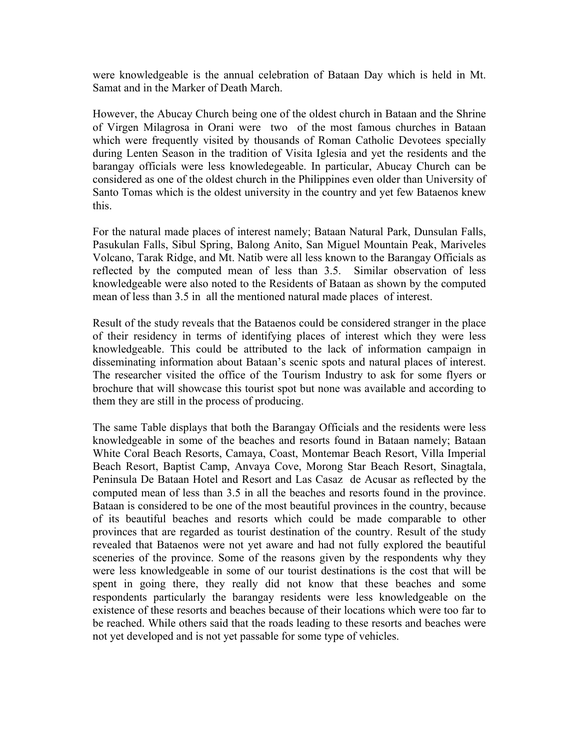were knowledgeable is the annual celebration of Bataan Day which is held in Mt. Samat and in the Marker of Death March.

However, the Abucay Church being one of the oldest church in Bataan and the Shrine of Virgen Milagrosa in Orani were two of the most famous churches in Bataan which were frequently visited by thousands of Roman Catholic Devotees specially during Lenten Season in the tradition of Visita Iglesia and yet the residents and the barangay officials were less knowledegeable. In particular, Abucay Church can be considered as one of the oldest church in the Philippines even older than University of Santo Tomas which is the oldest university in the country and yet few Bataenos knew this.

For the natural made places of interest namely; Bataan Natural Park, Dunsulan Falls, Pasukulan Falls, Sibul Spring, Balong Anito, San Miguel Mountain Peak, Mariveles Volcano, Tarak Ridge, and Mt. Natib were all less known to the Barangay Officials as reflected by the computed mean of less than 3.5. Similar observation of less knowledgeable were also noted to the Residents of Bataan as shown by the computed mean of less than 3.5 in all the mentioned natural made places of interest.

Result of the study reveals that the Bataenos could be considered stranger in the place of their residency in terms of identifying places of interest which they were less knowledgeable. This could be attributed to the lack of information campaign in disseminating information about Bataan's scenic spots and natural places of interest. The researcher visited the office of the Tourism Industry to ask for some flyers or brochure that will showcase this tourist spot but none was available and according to them they are still in the process of producing.

The same Table displays that both the Barangay Officials and the residents were less knowledgeable in some of the beaches and resorts found in Bataan namely; Bataan White Coral Beach Resorts, Camaya, Coast, Montemar Beach Resort, Villa Imperial Beach Resort, Baptist Camp, Anvaya Cove, Morong Star Beach Resort, Sinagtala, Peninsula De Bataan Hotel and Resort and Las Casaz de Acusar as reflected by the computed mean of less than 3.5 in all the beaches and resorts found in the province. Bataan is considered to be one of the most beautiful provinces in the country, because of its beautiful beaches and resorts which could be made comparable to other provinces that are regarded as tourist destination of the country. Result of the study revealed that Bataenos were not yet aware and had not fully explored the beautiful sceneries of the province. Some of the reasons given by the respondents why they were less knowledgeable in some of our tourist destinations is the cost that will be spent in going there, they really did not know that these beaches and some respondents particularly the barangay residents were less knowledgeable on the existence of these resorts and beaches because of their locations which were too far to be reached. While others said that the roads leading to these resorts and beaches were not yet developed and is not yet passable for some type of vehicles.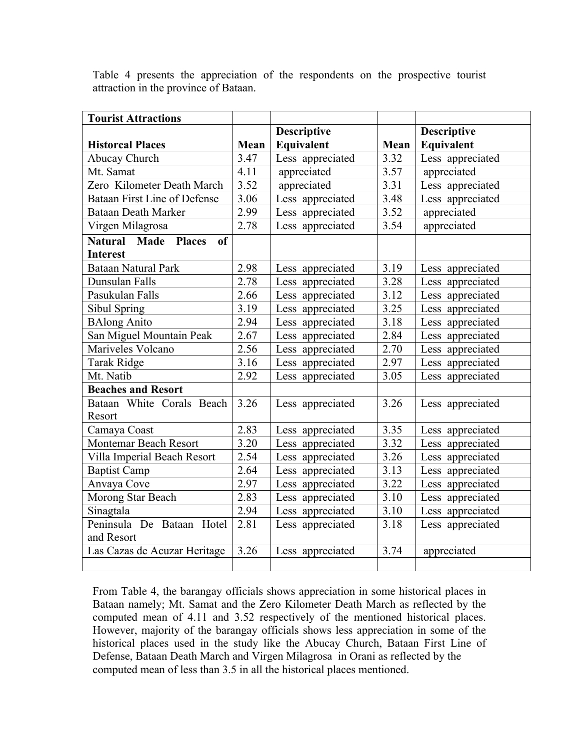| <b>Tourist Attractions</b>                               |      |                    |      |                    |
|----------------------------------------------------------|------|--------------------|------|--------------------|
|                                                          |      | <b>Descriptive</b> |      | <b>Descriptive</b> |
| <b>Historcal Places</b>                                  | Mean | Equivalent         | Mean | Equivalent         |
| Abucay Church                                            | 3.47 | Less appreciated   | 3.32 | Less appreciated   |
| Mt. Samat                                                | 4.11 | appreciated        | 3.57 | appreciated        |
| Zero Kilometer Death March                               | 3.52 | appreciated        | 3.31 | Less appreciated   |
| <b>Bataan First Line of Defense</b>                      | 3.06 | Less appreciated   | 3.48 | Less appreciated   |
| <b>Bataan Death Marker</b>                               | 2.99 | Less appreciated   | 3.52 | appreciated        |
| Virgen Milagrosa                                         | 2.78 | Less appreciated   | 3.54 | appreciated        |
| Made<br><b>Natural</b><br><b>Places</b><br><sub>of</sub> |      |                    |      |                    |
| <b>Interest</b>                                          |      |                    |      |                    |
| <b>Bataan Natural Park</b>                               | 2.98 | Less appreciated   | 3.19 | Less appreciated   |
| Dunsulan Falls                                           | 2.78 | Less appreciated   | 3.28 | Less appreciated   |
| Pasukulan Falls                                          | 2.66 | Less appreciated   | 3.12 | Less appreciated   |
| Sibul Spring                                             | 3.19 | Less appreciated   | 3.25 | Less appreciated   |
| <b>BAlong Anito</b>                                      | 2.94 | Less appreciated   | 3.18 | Less appreciated   |
| San Miguel Mountain Peak                                 | 2.67 | Less appreciated   | 2.84 | Less appreciated   |
| Mariveles Volcano                                        | 2.56 | Less appreciated   | 2.70 | Less appreciated   |
| <b>Tarak Ridge</b>                                       | 3.16 | Less appreciated   | 2.97 | Less appreciated   |
| Mt. Natib                                                | 2.92 | Less appreciated   | 3.05 | Less appreciated   |
| <b>Beaches and Resort</b>                                |      |                    |      |                    |
| Bataan White Corals Beach                                | 3.26 | Less appreciated   | 3.26 | Less appreciated   |
| Resort                                                   |      |                    |      |                    |
| Camaya Coast                                             | 2.83 | Less appreciated   | 3.35 | Less appreciated   |
| Montemar Beach Resort                                    | 3.20 | Less appreciated   | 3.32 | Less appreciated   |
| Villa Imperial Beach Resort                              | 2.54 | Less appreciated   | 3.26 | Less appreciated   |
| <b>Baptist Camp</b>                                      | 2.64 | Less appreciated   | 3.13 | Less appreciated   |
| Anvaya Cove                                              | 2.97 | Less appreciated   | 3.22 | Less appreciated   |
| Morong Star Beach                                        | 2.83 | Less appreciated   | 3.10 | Less appreciated   |
| Sinagtala                                                | 2.94 | Less appreciated   | 3.10 | Less appreciated   |
| Peninsula De Bataan<br>Hotel                             | 2.81 | Less appreciated   | 3.18 | Less appreciated   |
| and Resort                                               |      |                    |      |                    |
| Las Cazas de Acuzar Heritage                             | 3.26 | Less appreciated   | 3.74 | appreciated        |
|                                                          |      |                    |      |                    |

Table 4 presents the appreciation of the respondents on the prospective tourist attraction in the province of Bataan.

From Table 4, the barangay officials shows appreciation in some historical places in Bataan namely; Mt. Samat and the Zero Kilometer Death March as reflected by the computed mean of 4.11 and 3.52 respectively of the mentioned historical places. However, majority of the barangay officials shows less appreciation in some of the historical places used in the study like the Abucay Church, Bataan First Line of Defense, Bataan Death March and Virgen Milagrosa in Orani as reflected by the computed mean of less than 3.5 in all the historical places mentioned.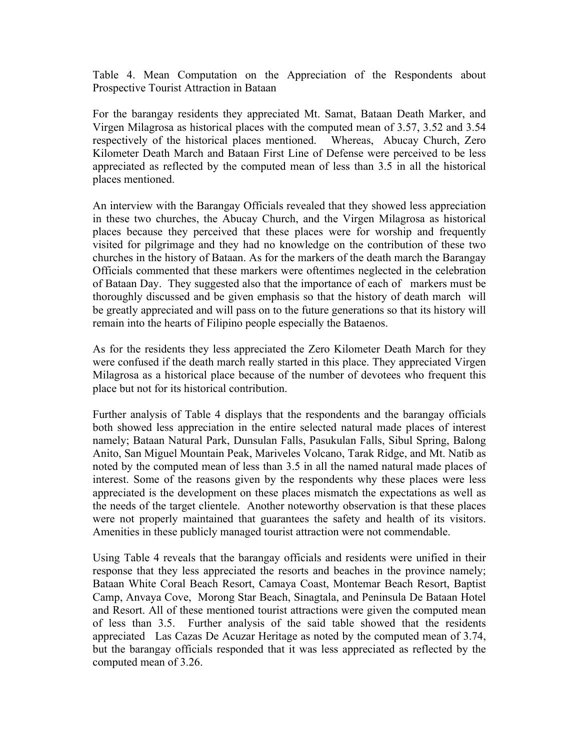Table 4. Mean Computation on the Appreciation of the Respondents about Prospective Tourist Attraction in Bataan

For the barangay residents they appreciated Mt. Samat, Bataan Death Marker, and Virgen Milagrosa as historical places with the computed mean of 3.57, 3.52 and 3.54 respectively of the historical places mentioned. Whereas, Abucay Church, Zero Kilometer Death March and Bataan First Line of Defense were perceived to be less appreciated as reflected by the computed mean of less than 3.5 in all the historical places mentioned.

An interview with the Barangay Officials revealed that they showed less appreciation in these two churches, the Abucay Church, and the Virgen Milagrosa as historical places because they perceived that these places were for worship and frequently visited for pilgrimage and they had no knowledge on the contribution of these two churches in the history of Bataan. As for the markers of the death march the Barangay Officials commented that these markers were oftentimes neglected in the celebration of Bataan Day. They suggested also that the importance of each of markers must be thoroughly discussed and be given emphasis so that the history of death march will be greatly appreciated and will pass on to the future generations so that its history will remain into the hearts of Filipino people especially the Bataenos.

As for the residents they less appreciated the Zero Kilometer Death March for they were confused if the death march really started in this place. They appreciated Virgen Milagrosa as a historical place because of the number of devotees who frequent this place but not for its historical contribution.

Further analysis of Table 4 displays that the respondents and the barangay officials both showed less appreciation in the entire selected natural made places of interest namely; Bataan Natural Park, Dunsulan Falls, Pasukulan Falls, Sibul Spring, Balong Anito, San Miguel Mountain Peak, Mariveles Volcano, Tarak Ridge, and Mt. Natib as noted by the computed mean of less than 3.5 in all the named natural made places of interest. Some of the reasons given by the respondents why these places were less appreciated is the development on these places mismatch the expectations as well as the needs of the target clientele. Another noteworthy observation is that these places were not properly maintained that guarantees the safety and health of its visitors. Amenities in these publicly managed tourist attraction were not commendable.

Using Table 4 reveals that the barangay officials and residents were unified in their response that they less appreciated the resorts and beaches in the province namely; Bataan White Coral Beach Resort, Camaya Coast, Montemar Beach Resort, Baptist Camp, Anvaya Cove, Morong Star Beach, Sinagtala, and Peninsula De Bataan Hotel and Resort. All of these mentioned tourist attractions were given the computed mean of less than 3.5. Further analysis of the said table showed that the residents appreciated Las Cazas De Acuzar Heritage as noted by the computed mean of 3.74, but the barangay officials responded that it was less appreciated as reflected by the computed mean of 3.26.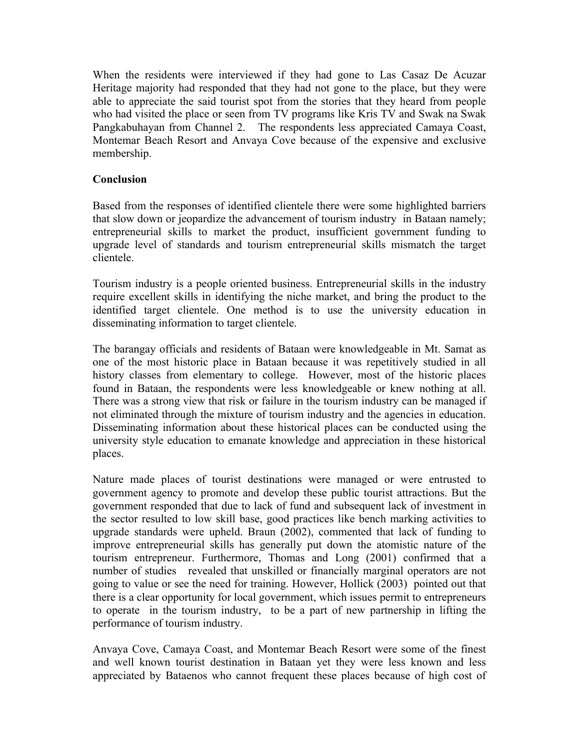When the residents were interviewed if they had gone to Las Casaz De Acuzar Heritage majority had responded that they had not gone to the place, but they were able to appreciate the said tourist spot from the stories that they heard from people who had visited the place or seen from TV programs like Kris TV and Swak na Swak Pangkabuhayan from Channel 2. The respondents less appreciated Camaya Coast, Montemar Beach Resort and Anvaya Cove because of the expensive and exclusive membership.

## **Conclusion**

Based from the responses of identified clientele there were some highlighted barriers that slow down or jeopardize the advancement of tourism industry in Bataan namely; entrepreneurial skills to market the product, insufficient government funding to upgrade level of standards and tourism entrepreneurial skills mismatch the target clientele.

Tourism industry is a people oriented business. Entrepreneurial skills in the industry require excellent skills in identifying the niche market, and bring the product to the identified target clientele. One method is to use the university education in disseminating information to target clientele.

The barangay officials and residents of Bataan were knowledgeable in Mt. Samat as one of the most historic place in Bataan because it was repetitively studied in all history classes from elementary to college. However, most of the historic places found in Bataan, the respondents were less knowledgeable or knew nothing at all. There was a strong view that risk or failure in the tourism industry can be managed if not eliminated through the mixture of tourism industry and the agencies in education. Disseminating information about these historical places can be conducted using the university style education to emanate knowledge and appreciation in these historical places.

Nature made places of tourist destinations were managed or were entrusted to government agency to promote and develop these public tourist attractions. But the government responded that due to lack of fund and subsequent lack of investment in the sector resulted to low skill base, good practices like bench marking activities to upgrade standards were upheld. Braun (2002), commented that lack of funding to improve entrepreneurial skills has generally put down the atomistic nature of the tourism entrepreneur. Furthermore, Thomas and Long (2001) confirmed that a number of studies revealed that unskilled or financially marginal operators are not going to value or see the need for training. However, Hollick (2003) pointed out that there is a clear opportunity for local government, which issues permit to entrepreneurs to operate in the tourism industry, to be a part of new partnership in lifting the performance of tourism industry.

Anvaya Cove, Camaya Coast, and Montemar Beach Resort were some of the finest and well known tourist destination in Bataan yet they were less known and less appreciated by Bataenos who cannot frequent these places because of high cost of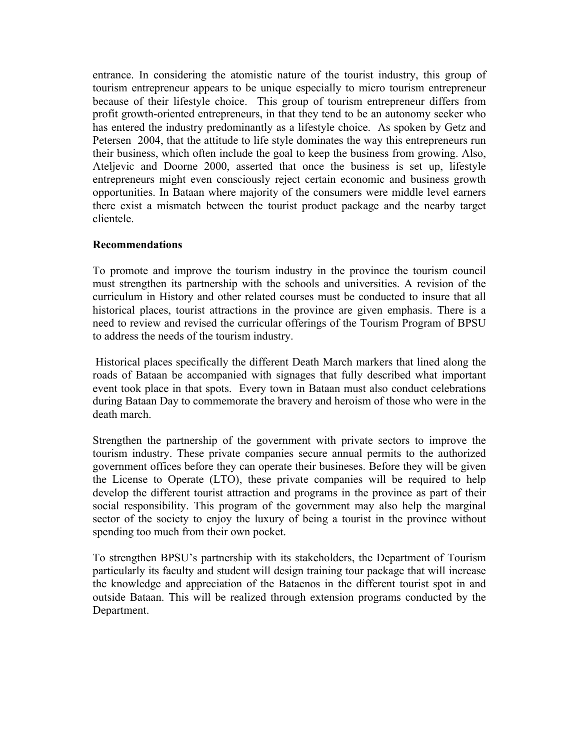entrance. In considering the atomistic nature of the tourist industry, this group of tourism entrepreneur appears to be unique especially to micro tourism entrepreneur because of their lifestyle choice. This group of tourism entrepreneur differs from profit growth-oriented entrepreneurs, in that they tend to be an autonomy seeker who has entered the industry predominantly as a lifestyle choice. As spoken by Getz and Petersen 2004, that the attitude to life style dominates the way this entrepreneurs run their business, which often include the goal to keep the business from growing. Also, Ateljevic and Doorne 2000, asserted that once the business is set up, lifestyle entrepreneurs might even consciously reject certain economic and business growth opportunities. In Bataan where majority of the consumers were middle level earners there exist a mismatch between the tourist product package and the nearby target clientele.

## **Recommendations**

To promote and improve the tourism industry in the province the tourism council must strengthen its partnership with the schools and universities. A revision of the curriculum in History and other related courses must be conducted to insure that all historical places, tourist attractions in the province are given emphasis. There is a need to review and revised the curricular offerings of the Tourism Program of BPSU to address the needs of the tourism industry.

Historical places specifically the different Death March markers that lined along the roads of Bataan be accompanied with signages that fully described what important event took place in that spots. Every town in Bataan must also conduct celebrations during Bataan Day to commemorate the bravery and heroism of those who were in the death march.

Strengthen the partnership of the government with private sectors to improve the tourism industry. These private companies secure annual permits to the authorized government offices before they can operate their busineses. Before they will be given the License to Operate (LTO), these private companies will be required to help develop the different tourist attraction and programs in the province as part of their social responsibility. This program of the government may also help the marginal sector of the society to enjoy the luxury of being a tourist in the province without spending too much from their own pocket.

To strengthen BPSU's partnership with its stakeholders, the Department of Tourism particularly its faculty and student will design training tour package that will increase the knowledge and appreciation of the Bataenos in the different tourist spot in and outside Bataan. This will be realized through extension programs conducted by the Department.